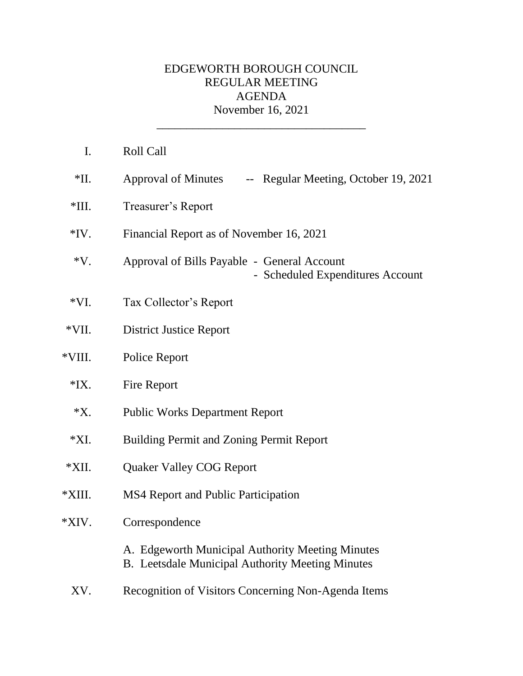## EDGEWORTH BOROUGH COUNCIL REGULAR MEETING AGENDA November 16, 2021

\_\_\_\_\_\_\_\_\_\_\_\_\_\_\_\_\_\_\_\_\_\_\_\_\_\_\_\_\_\_\_\_\_\_\_

| $\mathbf{I}$ . | Roll Call                                                                                                   |
|----------------|-------------------------------------------------------------------------------------------------------------|
| $*$ II.        | Approval of Minutes -- Regular Meeting, October 19, 2021                                                    |
| $*III.$        | Treasurer's Report                                                                                          |
| $*IV.$         | Financial Report as of November 16, 2021                                                                    |
| $*V.$          | Approval of Bills Payable - General Account<br>- Scheduled Expenditures Account                             |
| $*VI.$         | Tax Collector's Report                                                                                      |
| $*VII.$        | <b>District Justice Report</b>                                                                              |
| *VIII.         | Police Report                                                                                               |
| $*IX.$         | Fire Report                                                                                                 |
| $*X$ .         | <b>Public Works Department Report</b>                                                                       |
| $*XI.$         | <b>Building Permit and Zoning Permit Report</b>                                                             |
| *XII.          | <b>Quaker Valley COG Report</b>                                                                             |
| *XIII.         | <b>MS4 Report and Public Participation</b>                                                                  |
| *XIV.          | Correspondence                                                                                              |
|                | A. Edgeworth Municipal Authority Meeting Minutes<br><b>B.</b> Leetsdale Municipal Authority Meeting Minutes |
| XV.            | Recognition of Visitors Concerning Non-Agenda Items                                                         |